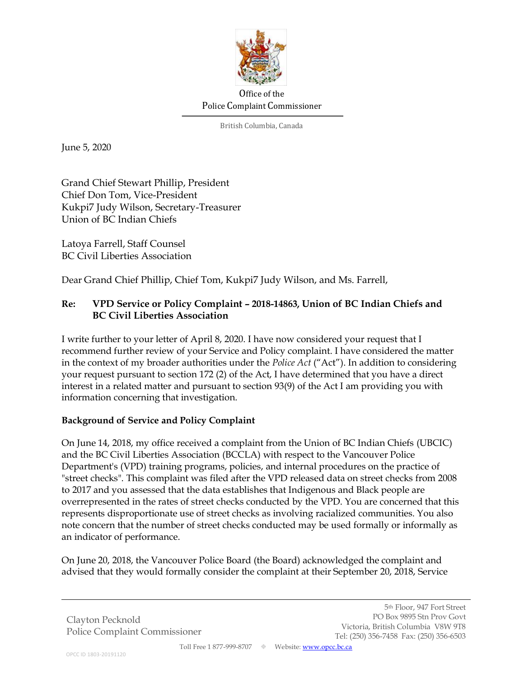

## Office of the Police Complaint Commissioner

British Columbia, Canada

June 5, 2020

Grand Chief Stewart Phillip, President Chief Don Tom, Vice-President Kukpi7 Judy Wilson, Secretary-Treasurer Union of BC Indian Chiefs

Latoya Farrell, Staff Counsel BC Civil Liberties Association

Dear Grand Chief Phillip, Chief Tom, Kukpi7 Judy Wilson, and Ms. Farrell,

# **Re: VPD Service or Policy Complaint – 2018-14863, Union of BC Indian Chiefs and BC Civil Liberties Association**

I write further to your letter of April 8, 2020. I have now considered your request that I recommend further review of your Service and Policy complaint. I have considered the matter in the context of my broader authorities under the *Police Act* ("Act"). In addition to considering your request pursuant to section 172 (2) of the Act, I have determined that you have a direct interest in a related matter and pursuant to section 93(9) of the Act I am providing you with information concerning that investigation.

### **Background of Service and Policy Complaint**

On June 14, 2018, my office received a complaint from the Union of BC Indian Chiefs (UBCIC) and the BC Civil Liberties Association (BCCLA) with respect to the Vancouver Police Department's (VPD) training programs, policies, and internal procedures on the practice of "street checks". This complaint was filed after the VPD released data on street checks from 2008 to 2017 and you assessed that the data establishes that Indigenous and Black people are overrepresented in the rates of street checks conducted by the VPD. You are concerned that this represents disproportionate use of street checks as involving racialized communities. You also note concern that the number of street checks conducted may be used formally or informally as an indicator of performance.

On June 20, 2018, the Vancouver Police Board (the Board) acknowledged the complaint and advised that they would formally consider the complaint at their September 20, 2018, Service

Clayton Pecknold Police Complaint Commissioner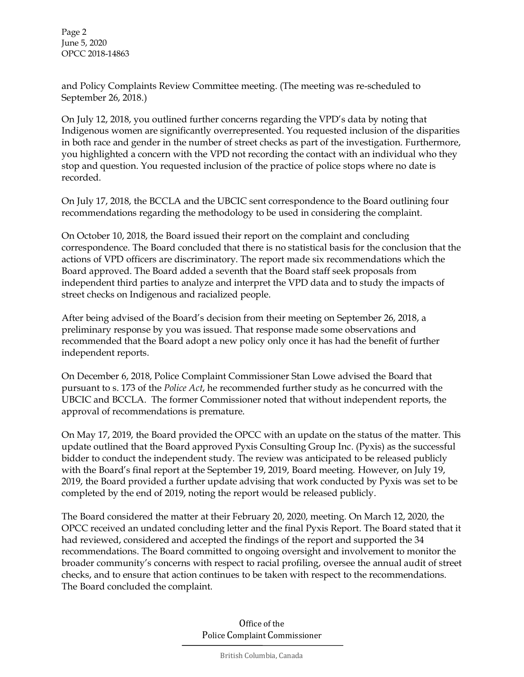Page 2 June 5, 2020 OPCC 2018-14863

and Policy Complaints Review Committee meeting. (The meeting was re-scheduled to September 26, 2018.)

On July 12, 2018, you outlined further concerns regarding the VPD's data by noting that Indigenous women are significantly overrepresented. You requested inclusion of the disparities in both race and gender in the number of street checks as part of the investigation. Furthermore, you highlighted a concern with the VPD not recording the contact with an individual who they stop and question. You requested inclusion of the practice of police stops where no date is recorded.

On July 17, 2018, the BCCLA and the UBCIC sent correspondence to the Board outlining four recommendations regarding the methodology to be used in considering the complaint.

On October 10, 2018, the Board issued their report on the complaint and concluding correspondence. The Board concluded that there is no statistical basis for the conclusion that the actions of VPD officers are discriminatory. The report made six recommendations which the Board approved. The Board added a seventh that the Board staff seek proposals from independent third parties to analyze and interpret the VPD data and to study the impacts of street checks on Indigenous and racialized people.

After being advised of the Board's decision from their meeting on September 26, 2018, a preliminary response by you was issued. That response made some observations and recommended that the Board adopt a new policy only once it has had the benefit of further independent reports.

On December 6, 2018, Police Complaint Commissioner Stan Lowe advised the Board that pursuant to s. 173 of the *Police Act*, he recommended further study as he concurred with the UBCIC and BCCLA. The former Commissioner noted that without independent reports, the approval of recommendations is premature.

On May 17, 2019, the Board provided the OPCC with an update on the status of the matter. This update outlined that the Board approved Pyxis Consulting Group Inc. (Pyxis) as the successful bidder to conduct the independent study. The review was anticipated to be released publicly with the Board's final report at the September 19, 2019, Board meeting. However, on July 19, 2019, the Board provided a further update advising that work conducted by Pyxis was set to be completed by the end of 2019, noting the report would be released publicly.

The Board considered the matter at their February 20, 2020, meeting. On March 12, 2020, the OPCC received an undated concluding letter and the final Pyxis Report. The Board stated that it had reviewed, considered and accepted the findings of the report and supported the 34 recommendations. The Board committed to ongoing oversight and involvement to monitor the broader community's concerns with respect to racial profiling, oversee the annual audit of street checks, and to ensure that action continues to be taken with respect to the recommendations. The Board concluded the complaint.

> Office of the Police Complaint Commissioner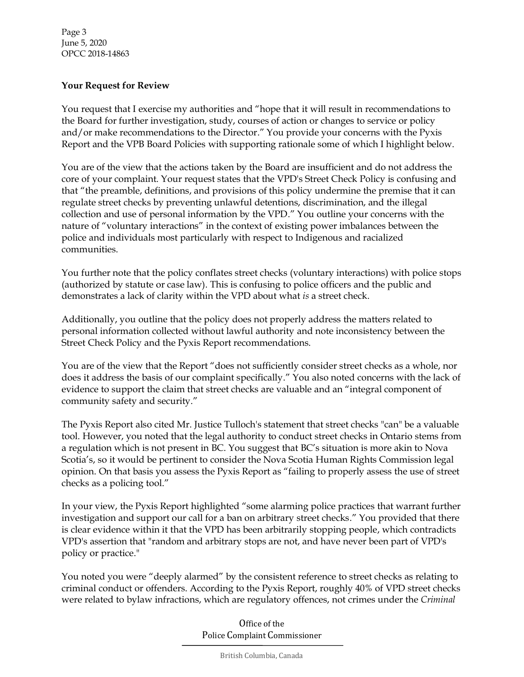Page 3 June 5, 2020 OPCC 2018-14863

#### **Your Request for Review**

You request that I exercise my authorities and "hope that it will result in recommendations to the Board for further investigation, study, courses of action or changes to service or policy and/or make recommendations to the Director." You provide your concerns with the Pyxis Report and the VPB Board Policies with supporting rationale some of which I highlight below.

You are of the view that the actions taken by the Board are insufficient and do not address the core of your complaint. Your request states that the VPD's Street Check Policy is confusing and that "the preamble, definitions, and provisions of this policy undermine the premise that it can regulate street checks by preventing unlawful detentions, discrimination, and the illegal collection and use of personal information by the VPD." You outline your concerns with the nature of "voluntary interactions" in the context of existing power imbalances between the police and individuals most particularly with respect to Indigenous and racialized communities.

You further note that the policy conflates street checks (voluntary interactions) with police stops (authorized by statute or case law). This is confusing to police officers and the public and demonstrates a lack of clarity within the VPD about what *is* a street check.

Additionally, you outline that the policy does not properly address the matters related to personal information collected without lawful authority and note inconsistency between the Street Check Policy and the Pyxis Report recommendations.

You are of the view that the Report "does not sufficiently consider street checks as a whole, nor does it address the basis of our complaint specifically." You also noted concerns with the lack of evidence to support the claim that street checks are valuable and an "integral component of community safety and security."

The Pyxis Report also cited Mr. Justice Tulloch's statement that street checks "can" be a valuable tool. However, you noted that the legal authority to conduct street checks in Ontario stems from a regulation which is not present in BC. You suggest that BC's situation is more akin to Nova Scotia's, so it would be pertinent to consider the Nova Scotia Human Rights Commission legal opinion. On that basis you assess the Pyxis Report as "failing to properly assess the use of street checks as a policing tool."

In your view, the Pyxis Report highlighted "some alarming police practices that warrant further investigation and support our call for a ban on arbitrary street checks." You provided that there is clear evidence within it that the VPD has been arbitrarily stopping people, which contradicts VPD's assertion that "random and arbitrary stops are not, and have never been part of VPD's policy or practice."

You noted you were "deeply alarmed" by the consistent reference to street checks as relating to criminal conduct or offenders. According to the Pyxis Report, roughly 40% of VPD street checks were related to bylaw infractions, which are regulatory offences, not crimes under the *Criminal* 

> Office of the Police Complaint Commissioner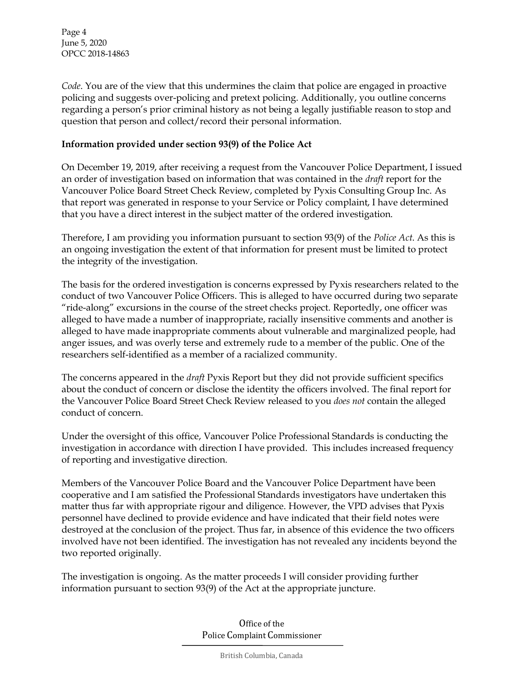Page 4 June 5, 2020 OPCC 2018-14863

*Code*. You are of the view that this undermines the claim that police are engaged in proactive policing and suggests over-policing and pretext policing. Additionally, you outline concerns regarding a person's prior criminal history as not being a legally justifiable reason to stop and question that person and collect/record their personal information.

#### **Information provided under section 93(9) of the Police Act**

On December 19, 2019, after receiving a request from the Vancouver Police Department, I issued an order of investigation based on information that was contained in the *draft* report for the Vancouver Police Board Street Check Review, completed by Pyxis Consulting Group Inc. As that report was generated in response to your Service or Policy complaint, I have determined that you have a direct interest in the subject matter of the ordered investigation.

Therefore, I am providing you information pursuant to section 93(9) of the *Police Act*. As this is an ongoing investigation the extent of that information for present must be limited to protect the integrity of the investigation.

The basis for the ordered investigation is concerns expressed by Pyxis researchers related to the conduct of two Vancouver Police Officers. This is alleged to have occurred during two separate "ride-along" excursions in the course of the street checks project. Reportedly, one officer was alleged to have made a number of inappropriate, racially insensitive comments and another is alleged to have made inappropriate comments about vulnerable and marginalized people, had anger issues, and was overly terse and extremely rude to a member of the public. One of the researchers self-identified as a member of a racialized community.

The concerns appeared in the *draft* Pyxis Report but they did not provide sufficient specifics about the conduct of concern or disclose the identity the officers involved. The final report for the Vancouver Police Board Street Check Review released to you *does not* contain the alleged conduct of concern.

Under the oversight of this office, Vancouver Police Professional Standards is conducting the investigation in accordance with direction I have provided. This includes increased frequency of reporting and investigative direction.

Members of the Vancouver Police Board and the Vancouver Police Department have been cooperative and I am satisfied the Professional Standards investigators have undertaken this matter thus far with appropriate rigour and diligence. However, the VPD advises that Pyxis personnel have declined to provide evidence and have indicated that their field notes were destroyed at the conclusion of the project. Thus far, in absence of this evidence the two officers involved have not been identified. The investigation has not revealed any incidents beyond the two reported originally.

The investigation is ongoing. As the matter proceeds I will consider providing further information pursuant to section 93(9) of the Act at the appropriate juncture.

> Office of the Police Complaint Commissioner